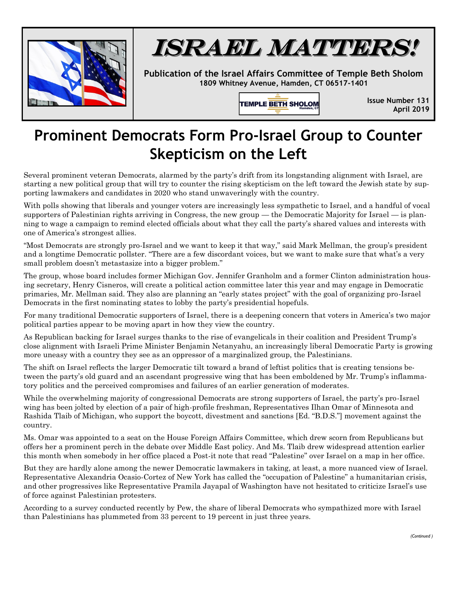



**Publication of the Israel Affairs Committee of Temple Beth Sholom 1809 Whitney Avenue, Hamden, CT 06517-1401**

TEMPLE BETH SHOLOM

**Issue Number 131 April 2019**

## **Prominent Democrats Form Pro-Israel Group to Counter Skepticism on the Left**

Several prominent veteran Democrats, alarmed by the party's drift from its longstanding alignment with Israel, are starting a new political group that will try to counter the rising skepticism on the left toward the Jewish state by supporting lawmakers and candidates in 2020 who stand unwaveringly with the country.

With polls showing that liberals and younger voters are increasingly less sympathetic to Israel, and a handful of vocal supporters of Palestinian rights arriving in Congress, the new group — the Democratic Majority for Israel — is planning to wage a campaign to remind elected officials about what they call the party's shared values and interests with one of America's strongest allies.

"Most Democrats are strongly pro-Israel and we want to keep it that way," said Mark Mellman, the group's president and a longtime Democratic pollster. "There are a few discordant voices, but we want to make sure that what's a very small problem doesn't metastasize into a bigger problem."

The group, whose board includes former Michigan Gov. Jennifer Granholm and a former Clinton administration housing secretary, Henry Cisneros, will create a political action committee later this year and may engage in Democratic primaries, Mr. Mellman said. They also are planning an "early states project" with the goal of organizing pro-Israel Democrats in the first nominating states to lobby the party's presidential hopefuls.

For many traditional Democratic supporters of Israel, there is a deepening concern that voters in America's two major political parties appear to be moving apart in how they view the country.

As Republican backing for Israel surges thanks to the rise of evangelicals in their coalition and President Trump's close alignment with Israeli Prime Minister Benjamin Netanyahu, an increasingly liberal Democratic Party is growing more uneasy with a country they see as an oppressor of a marginalized group, the Palestinians.

The shift on Israel reflects the larger Democratic tilt toward a brand of leftist politics that is creating tensions between the party's old guard and an ascendant progressive wing that has been emboldened by Mr. Trump's inflammatory politics and the perceived compromises and failures of an earlier generation of moderates.

While the overwhelming majority of congressional Democrats are strong supporters of Israel, the party's pro-Israel wing has been jolted by election of a pair of high-profile freshman, Representatives Ilhan Omar of Minnesota and Rashida Tlaib of Michigan, who support the boycott, divestment and sanctions [Ed. "B.D.S."] movement against the country.

Ms. Omar was appointed to a seat on the House Foreign Affairs Committee, which drew scorn from Republicans but offers her a prominent perch in the debate over Middle East policy. And Ms. Tlaib drew widespread attention earlier this month when somebody in her office placed a Post-it note that read "Palestine" over Israel on a map in her office.

But they are hardly alone among the newer Democratic lawmakers in taking, at least, a more nuanced view of Israel. Representative Alexandria Ocasio-Cortez of New York has called the "occupation of Palestine" a humanitarian crisis, and other progressives like Representative Pramila Jayapal of Washington have not hesitated to criticize Israel's use of force against Palestinian protesters.

According to a survey conducted recently by Pew, the share of liberal Democrats who sympathized more with Israel than Palestinians has plummeted from 33 percent to 19 percent in just three years.